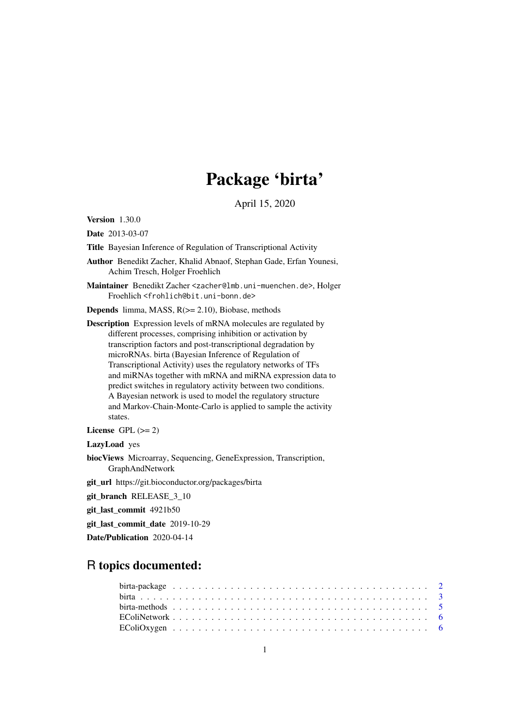# Package 'birta'

April 15, 2020

<span id="page-0-0"></span>Version 1.30.0

Date 2013-03-07

Title Bayesian Inference of Regulation of Transcriptional Activity

Author Benedikt Zacher, Khalid Abnaof, Stephan Gade, Erfan Younesi, Achim Tresch, Holger Froehlich

Maintainer Benedikt Zacher <zacher@lmb.uni-muenchen.de>, Holger Froehlich <frohlich@bit.uni-bonn.de>

**Depends** limma, MASS,  $R$ ( $>=$  2.10), Biobase, methods

Description Expression levels of mRNA molecules are regulated by different processes, comprising inhibition or activation by transcription factors and post-transcriptional degradation by microRNAs. birta (Bayesian Inference of Regulation of Transcriptional Activity) uses the regulatory networks of TFs and miRNAs together with mRNA and miRNA expression data to predict switches in regulatory activity between two conditions. A Bayesian network is used to model the regulatory structure and Markov-Chain-Monte-Carlo is applied to sample the activity states.

License GPL  $(>= 2)$ 

LazyLoad yes

biocViews Microarray, Sequencing, GeneExpression, Transcription, GraphAndNetwork

git\_url https://git.bioconductor.org/packages/birta

git\_branch RELEASE\_3\_10

git\_last\_commit 4921b50

git last commit date 2019-10-29

Date/Publication 2020-04-14

# R topics documented: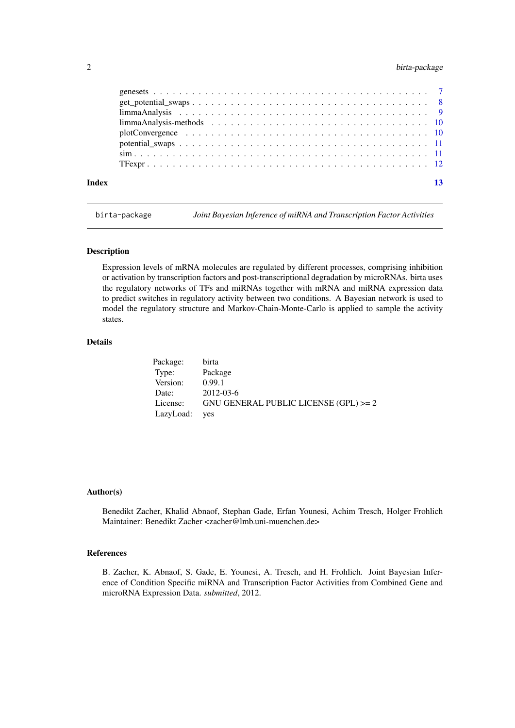# <span id="page-1-0"></span>2 birta-package birta-package birta-package birta-package birta-package birta-package birta-package birta-package birta-package birta-package birta-package birta-package birta-package birta-package birta-package birta-pack

| Index |  | 13 |
|-------|--|----|

birta-package *Joint Bayesian Inference of miRNA and Transcription Factor Activities*

#### Description

Expression levels of mRNA molecules are regulated by different processes, comprising inhibition or activation by transcription factors and post-transcriptional degradation by microRNAs. birta uses the regulatory networks of TFs and miRNAs together with mRNA and miRNA expression data to predict switches in regulatory activity between two conditions. A Bayesian network is used to model the regulatory structure and Markov-Chain-Monte-Carlo is applied to sample the activity states.

#### Details

| Package:  | birta                                   |
|-----------|-----------------------------------------|
| Type:     | Package                                 |
| Version:  | 0.99.1                                  |
| Date:     | 2012-03-6                               |
| License:  | GNU GENERAL PUBLIC LICENSE $(GPL) >= 2$ |
| LazyLoad: | <b>ves</b>                              |

#### Author(s)

Benedikt Zacher, Khalid Abnaof, Stephan Gade, Erfan Younesi, Achim Tresch, Holger Frohlich Maintainer: Benedikt Zacher <zacher@lmb.uni-muenchen.de>

# References

B. Zacher, K. Abnaof, S. Gade, E. Younesi, A. Tresch, and H. Frohlich. Joint Bayesian Inference of Condition Specific miRNA and Transcription Factor Activities from Combined Gene and microRNA Expression Data. *submitted*, 2012.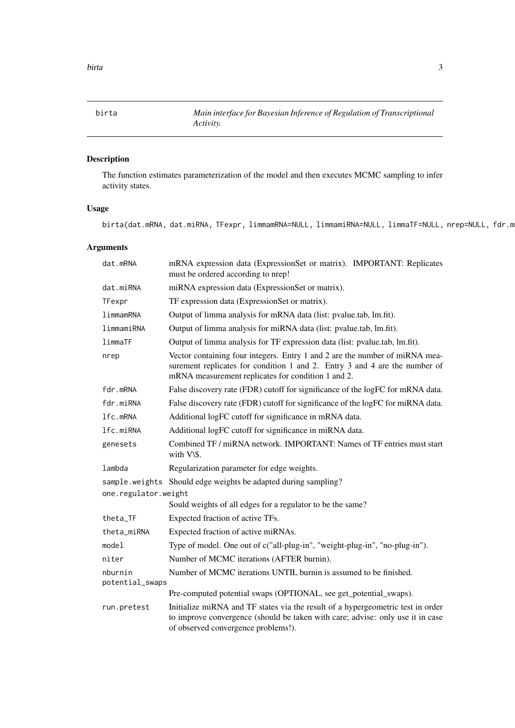<span id="page-2-1"></span><span id="page-2-0"></span>

# Description

The function estimates parameterization of the model and then executes MCMC sampling to infer activity states.

# Usage

birta(dat.mRNA, dat.miRNA, TFexpr, limmamRNA=NULL, limmamiRNA=NULL, limmaTF=NULL, nrep=NULL, fdr.m

# Arguments

| dat.mRNA                   | mRNA expression data (ExpressionSet or matrix). IMPORTANT: Replicates<br>must be ordered according to nrep!                                                                                                     |
|----------------------------|-----------------------------------------------------------------------------------------------------------------------------------------------------------------------------------------------------------------|
| dat.miRNA                  | miRNA expression data (ExpressionSet or matrix).                                                                                                                                                                |
| TFexpr                     | TF expression data (ExpressionSet or matrix).                                                                                                                                                                   |
| limmamRNA                  | Output of limma analysis for mRNA data (list: pvalue.tab, lm.fit).                                                                                                                                              |
| limmamiRNA                 | Output of limma analysis for miRNA data (list: pvalue.tab, lm.fit).                                                                                                                                             |
| limmaTF                    | Output of limma analysis for TF expression data (list: pvalue.tab, lm.fit).                                                                                                                                     |
| nrep                       | Vector containing four integers. Entry 1 and 2 are the number of miRNA mea-<br>surement replicates for condition 1 and 2. Entry 3 and 4 are the number of<br>mRNA measurement replicates for condition 1 and 2. |
| fdr.mRNA                   | False discovery rate (FDR) cutoff for significance of the logFC for mRNA data.                                                                                                                                  |
| fdr.miRNA                  | False discovery rate (FDR) cutoff for significance of the logFC for miRNA data.                                                                                                                                 |
| lfc.mRNA                   | Additional logFC cutoff for significance in mRNA data.                                                                                                                                                          |
| lfc.miRNA                  | Additional logFC cutoff for significance in miRNA data.                                                                                                                                                         |
| genesets                   | Combined TF / miRNA network. IMPORTANT: Names of TF entries must start<br>with V\\$.                                                                                                                            |
| lambda                     | Regularization parameter for edge weights.                                                                                                                                                                      |
|                            | sample.weights Should edge weights be adapted during sampling?                                                                                                                                                  |
| one.regulator.weight       |                                                                                                                                                                                                                 |
|                            | Sould weights of all edges for a regulator to be the same?                                                                                                                                                      |
| theta_TF                   | Expected fraction of active TFs.                                                                                                                                                                                |
| theta_miRNA                | Expected fraction of active miRNAs.                                                                                                                                                                             |
| model                      | Type of model. One out of c("all-plug-in", "weight-plug-in", "no-plug-in").                                                                                                                                     |
| niter                      | Number of MCMC iterations (AFTER burnin).                                                                                                                                                                       |
| nburnin<br>potential_swaps | Number of MCMC iterations UNTIL burnin is assumed to be finished.                                                                                                                                               |
|                            | Pre-computed potential swaps (OPTIONAL, see get_potential_swaps).                                                                                                                                               |
| run.pretest                | Initialize miRNA and TF states via the result of a hypergeometric test in order<br>to improve convergence (should be taken with care; advise: only use it in case<br>of observed convergence problems!).        |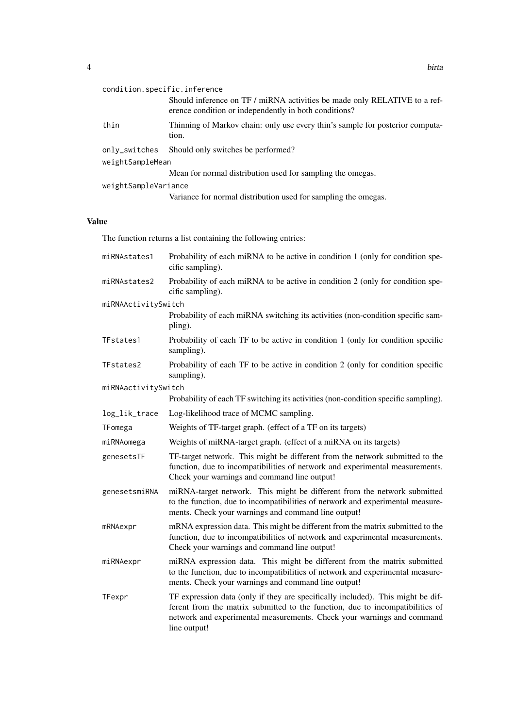| condition.specific.inference |                                                                                                                                    |  |  |  |  |  |  |
|------------------------------|------------------------------------------------------------------------------------------------------------------------------------|--|--|--|--|--|--|
|                              | Should inference on TF / miRNA activities be made only RELATIVE to a ref-<br>erence condition or independently in both conditions? |  |  |  |  |  |  |
| thin                         | Thinning of Markov chain: only use every thin's sample for posterior computa-<br>tion.                                             |  |  |  |  |  |  |
| only_switches                | Should only switches be performed?                                                                                                 |  |  |  |  |  |  |
| weightSampleMean             |                                                                                                                                    |  |  |  |  |  |  |
|                              | Mean for normal distribution used for sampling the omegas.                                                                         |  |  |  |  |  |  |
| weightSampleVariance         |                                                                                                                                    |  |  |  |  |  |  |
|                              | Variance for normal distribution used for sampling the omegas.                                                                     |  |  |  |  |  |  |
|                              |                                                                                                                                    |  |  |  |  |  |  |

# Value

The function returns a list containing the following entries:

| miRNAstates1        | Probability of each miRNA to be active in condition 1 (only for condition spe-<br>cific sampling).                                                                                                                                                         |  |  |  |  |
|---------------------|------------------------------------------------------------------------------------------------------------------------------------------------------------------------------------------------------------------------------------------------------------|--|--|--|--|
| miRNAstates2        | Probability of each miRNA to be active in condition 2 (only for condition spe-<br>cific sampling).                                                                                                                                                         |  |  |  |  |
| miRNAActivitySwitch |                                                                                                                                                                                                                                                            |  |  |  |  |
|                     | Probability of each miRNA switching its activities (non-condition specific sam-<br>pling).                                                                                                                                                                 |  |  |  |  |
| TFstates1           | Probability of each TF to be active in condition 1 (only for condition specific<br>sampling).                                                                                                                                                              |  |  |  |  |
| TFstates2           | Probability of each TF to be active in condition 2 (only for condition specific<br>sampling).                                                                                                                                                              |  |  |  |  |
| miRNAactivitySwitch |                                                                                                                                                                                                                                                            |  |  |  |  |
|                     | Probability of each TF switching its activities (non-condition specific sampling).                                                                                                                                                                         |  |  |  |  |
| log_lik_trace       | Log-likelihood trace of MCMC sampling.                                                                                                                                                                                                                     |  |  |  |  |
| TFomega             | Weights of TF-target graph. (effect of a TF on its targets)                                                                                                                                                                                                |  |  |  |  |
| miRNAomega          | Weights of miRNA-target graph. (effect of a miRNA on its targets)                                                                                                                                                                                          |  |  |  |  |
| genesetsTF          | TF-target network. This might be different from the network submitted to the<br>function, due to incompatibilities of network and experimental measurements.<br>Check your warnings and command line output!                                               |  |  |  |  |
| genesetsmiRNA       | miRNA-target network. This might be different from the network submitted<br>to the function, due to incompatibilities of network and experimental measure-<br>ments. Check your warnings and command line output!                                          |  |  |  |  |
| mRNAexpr            | mRNA expression data. This might be different from the matrix submitted to the<br>function, due to incompatibilities of network and experimental measurements.<br>Check your warnings and command line output!                                             |  |  |  |  |
| miRNAexpr           | miRNA expression data. This might be different from the matrix submitted<br>to the function, due to incompatibilities of network and experimental measure-<br>ments. Check your warnings and command line output!                                          |  |  |  |  |
| TFexpr              | TF expression data (only if they are specifically included). This might be dif-<br>ferent from the matrix submitted to the function, due to incompatibilities of<br>network and experimental measurements. Check your warnings and command<br>line output! |  |  |  |  |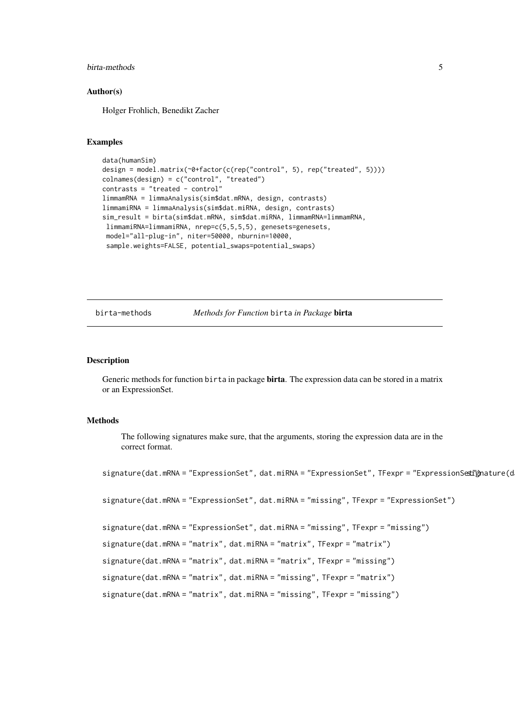#### <span id="page-4-0"></span>birta-methods 5

#### Author(s)

Holger Frohlich, Benedikt Zacher

#### Examples

```
data(humanSim)
design = model.matrix(~0+factor(c(rep("control", 5), rep("treated", 5))))
colnames(design) = c("control", "treated")
contrast = "treated - control"limmamRNA = limmaAnalysis(sim$dat.mRNA, design, contrasts)
limmamiRNA = limmaAnalysis(sim$dat.miRNA, design, contrasts)
sim_result = birta(sim$dat.mRNA, sim$dat.miRNA, limmamRNA=limmamRNA,
limmamiRNA=limmamiRNA, nrep=c(5,5,5,5), genesets=genesets,
 model="all-plug-in", niter=50000, nburnin=10000,
 sample.weights=FALSE, potential_swaps=potential_swaps)
```
birta-methods *Methods for Function* birta *in Package* birta

#### Description

Generic methods for function birta in package birta. The expression data can be stored in a matrix or an ExpressionSet.

#### Methods

The following signatures make sure, that the arguments, storing the expression data are in the correct format.

```
signature(dat.mRNA = "ExpressionSet", dat.miRNA = "ExpressionSet", TFexpr = "ExpressionSeti"gnature(d
signature(dat.mRNA = "ExpressionSet", dat.miRNA = "missing", TFexpr = "ExpressionSet")
signature(dat.mRNA = "ExpressionSet", dat.miRNA = "missing", TFexpr = "missing")
signature(dat.mRNA = "matrix", dat.miRNA = "matrix", TFexpr = "matrix")
signature(dat.mRNA = "matrix", dat.miRNA = "matrix", TFexpr = "missing")
signature(dat.mRNA = "matrix", dat.miRNA = "missing", TFexpr = "matrix")
signature(dat.mRNA = "matrix", dat.miRNA = "missing", TFexpr = "missing")
```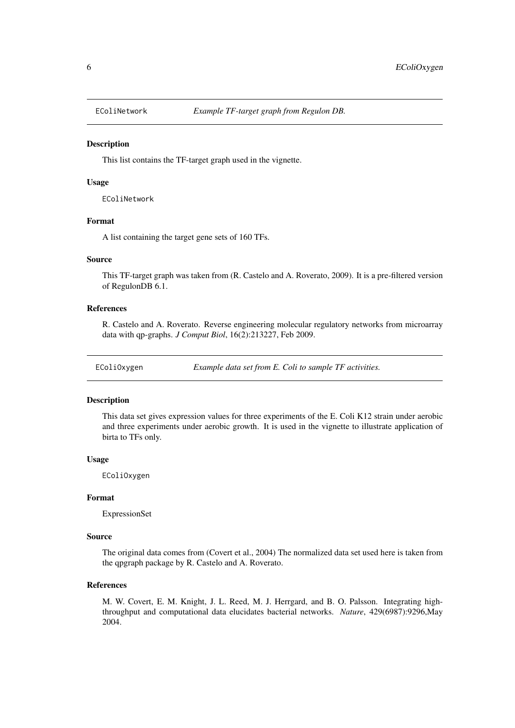<span id="page-5-0"></span>

#### Description

This list contains the TF-target graph used in the vignette.

#### Usage

EColiNetwork

#### Format

A list containing the target gene sets of 160 TFs.

#### Source

This TF-target graph was taken from (R. Castelo and A. Roverato, 2009). It is a pre-filtered version of RegulonDB 6.1.

#### References

R. Castelo and A. Roverato. Reverse engineering molecular regulatory networks from microarray data with qp-graphs. *J Comput Biol*, 16(2):213227, Feb 2009.

EColiOxygen *Example data set from E. Coli to sample TF activities.*

#### Description

This data set gives expression values for three experiments of the E. Coli K12 strain under aerobic and three experiments under aerobic growth. It is used in the vignette to illustrate application of birta to TFs only.

# Usage

EColiOxygen

# Format

ExpressionSet

### Source

The original data comes from (Covert et al., 2004) The normalized data set used here is taken from the qpgraph package by R. Castelo and A. Roverato.

# References

M. W. Covert, E. M. Knight, J. L. Reed, M. J. Herrgard, and B. O. Palsson. Integrating highthroughput and computational data elucidates bacterial networks. *Nature*, 429(6987):9296,May 2004.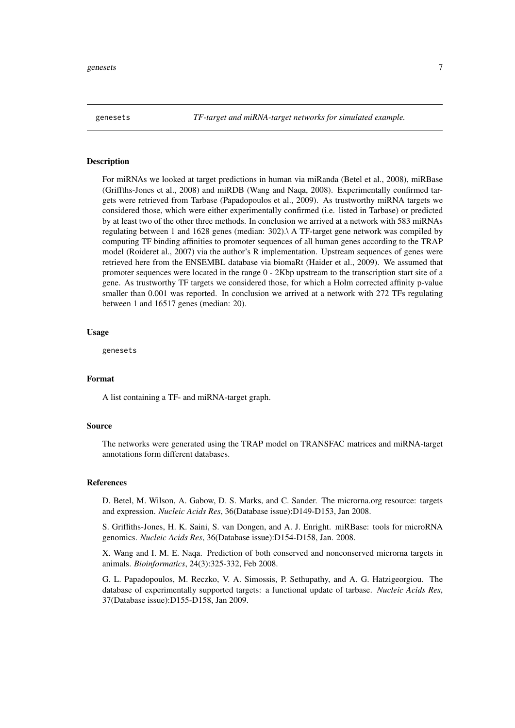<span id="page-6-0"></span>genesets *TF-target and miRNA-target networks for simulated example.*

#### Description

For miRNAs we looked at target predictions in human via miRanda (Betel et al., 2008), miRBase (Griffths-Jones et al., 2008) and miRDB (Wang and Naqa, 2008). Experimentally confirmed targets were retrieved from Tarbase (Papadopoulos et al., 2009). As trustworthy miRNA targets we considered those, which were either experimentally confirmed (i.e. listed in Tarbase) or predicted by at least two of the other three methods. In conclusion we arrived at a network with 583 miRNAs regulating between 1 and 1628 genes (median: 302).\ A TF-target gene network was compiled by computing TF binding affinities to promoter sequences of all human genes according to the TRAP model (Roideret al., 2007) via the author's R implementation. Upstream sequences of genes were retrieved here from the ENSEMBL database via biomaRt (Haider et al., 2009). We assumed that promoter sequences were located in the range 0 - 2Kbp upstream to the transcription start site of a gene. As trustworthy TF targets we considered those, for which a Holm corrected affinity p-value smaller than 0.001 was reported. In conclusion we arrived at a network with 272 TFs regulating between 1 and 16517 genes (median: 20).

#### Usage

genesets

#### Format

A list containing a TF- and miRNA-target graph.

#### Source

The networks were generated using the TRAP model on TRANSFAC matrices and miRNA-target annotations form different databases.

#### References

D. Betel, M. Wilson, A. Gabow, D. S. Marks, and C. Sander. The microrna.org resource: targets and expression. *Nucleic Acids Res*, 36(Database issue):D149-D153, Jan 2008.

S. Griffiths-Jones, H. K. Saini, S. van Dongen, and A. J. Enright. miRBase: tools for microRNA genomics. *Nucleic Acids Res*, 36(Database issue):D154-D158, Jan. 2008.

X. Wang and I. M. E. Naqa. Prediction of both conserved and nonconserved microrna targets in animals. *Bioinformatics*, 24(3):325-332, Feb 2008.

G. L. Papadopoulos, M. Reczko, V. A. Simossis, P. Sethupathy, and A. G. Hatzigeorgiou. The database of experimentally supported targets: a functional update of tarbase. *Nucleic Acids Res*, 37(Database issue):D155-D158, Jan 2009.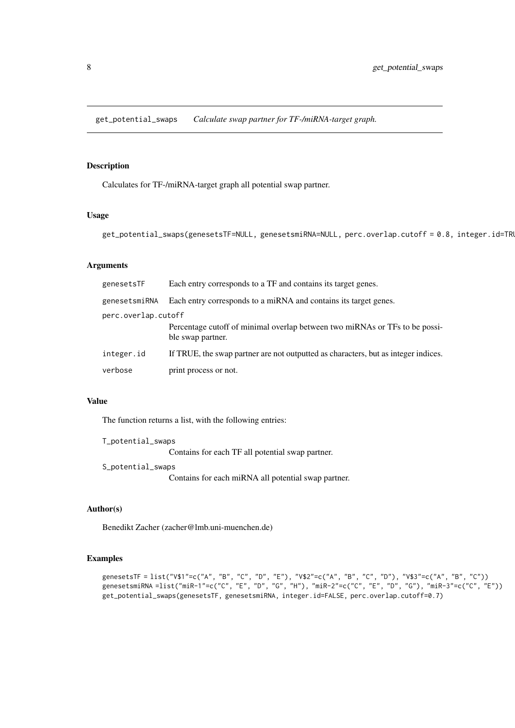<span id="page-7-0"></span>get\_potential\_swaps *Calculate swap partner for TF-/miRNA-target graph.*

# Description

Calculates for TF-/miRNA-target graph all potential swap partner.

# Usage

```
get_potential_swaps(genesetsTF=NULL, genesetsmiRNA=NULL, perc.overlap.cutoff = 0.8, integer.id=TRU
```
# Arguments

| genesetsTF          | Each entry corresponds to a TF and contains its target genes.                                    |  |  |  |  |  |  |  |  |
|---------------------|--------------------------------------------------------------------------------------------------|--|--|--|--|--|--|--|--|
| genesetsmiRNA       | Each entry corresponds to a miRNA and contains its target genes.                                 |  |  |  |  |  |  |  |  |
| perc.overlap.cutoff |                                                                                                  |  |  |  |  |  |  |  |  |
|                     | Percentage cutoff of minimal overlap between two miRNAs or TFs to be possi-<br>ble swap partner. |  |  |  |  |  |  |  |  |
| integer.id          | If TRUE, the swap partner are not outputted as characters, but as integer indices.               |  |  |  |  |  |  |  |  |
| verbose             | print process or not.                                                                            |  |  |  |  |  |  |  |  |

# Value

The function returns a list, with the following entries:

T\_potential\_swaps

Contains for each TF all potential swap partner.

S\_potential\_swaps

Contains for each miRNA all potential swap partner.

# Author(s)

Benedikt Zacher (zacher@lmb.uni-muenchen.de)

# Examples

```
genesetsTF = list("V$1"=c("A", "B", "C", "D", "E"), "V$2"=c("A", "B", "C", "D"), "V$3"=c("A", "B", "C"))
genesetsmiRNA =list("miR-1"=c("C", "E", "D", "G", "H"), "miR-2"=c("C", "E", "D", "G"), "miR-3"=c("C", "E"))
get_potential_swaps(genesetsTF, genesetsmiRNA, integer.id=FALSE, perc.overlap.cutoff=0.7)
```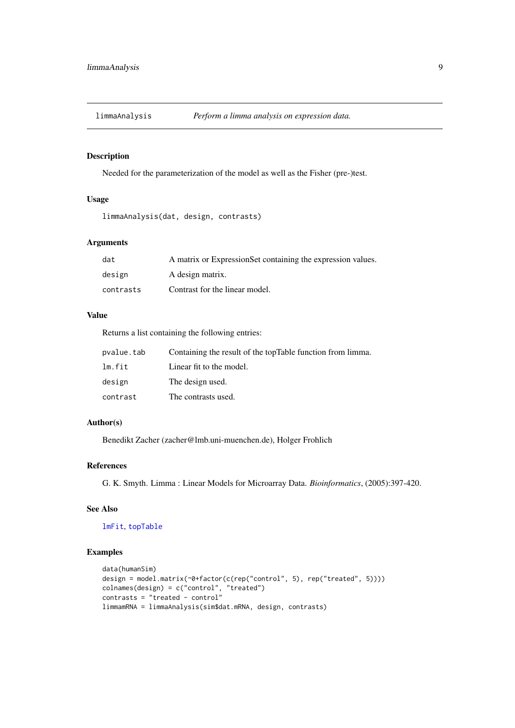<span id="page-8-0"></span>limmaAnalysis *Perform a limma analysis on expression data.*

# Description

Needed for the parameterization of the model as well as the Fisher (pre-)test.

# Usage

```
limmaAnalysis(dat, design, contrasts)
```
# Arguments

| dat       | A matrix or ExpressionSet containing the expression values. |
|-----------|-------------------------------------------------------------|
| design    | A design matrix.                                            |
| contrasts | Contrast for the linear model.                              |

#### Value

Returns a list containing the following entries:

| pvalue.tab | Containing the result of the topTable function from limma. |
|------------|------------------------------------------------------------|
| lm.fit     | Linear fit to the model.                                   |
| design     | The design used.                                           |
| contrast   | The contrasts used.                                        |

# Author(s)

Benedikt Zacher (zacher@lmb.uni-muenchen.de), Holger Frohlich

#### References

G. K. Smyth. Limma : Linear Models for Microarray Data. *Bioinformatics*, (2005):397-420.

# See Also

[lmFit](#page-0-0), [topTable](#page-0-0)

# Examples

```
data(humanSim)
design = model.matrix(~0+factor(c(rep("control", 5), rep("treated", 5))))
colnames(design) = c("control", "treated")
contrasts = "treated - control"
limmamRNA = limmaAnalysis(sim$dat.mRNA, design, contrasts)
```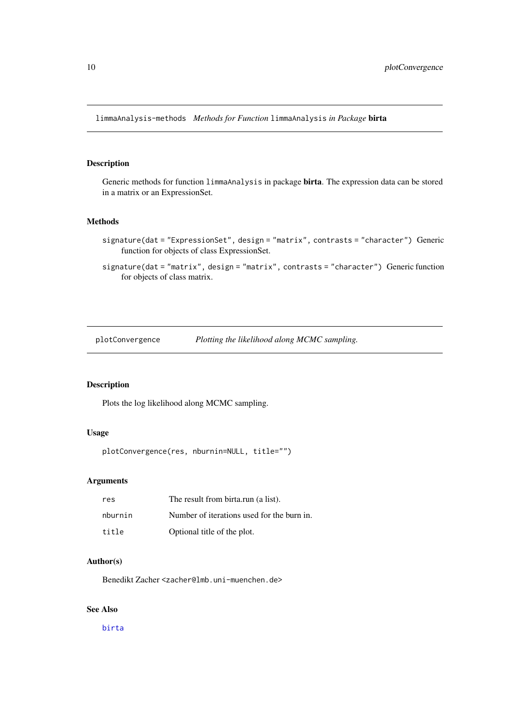<span id="page-9-0"></span>limmaAnalysis-methods *Methods for Function* limmaAnalysis *in Package* birta

# Description

Generic methods for function limmaAnalysis in package birta. The expression data can be stored in a matrix or an ExpressionSet.

# Methods

- signature(dat = "ExpressionSet", design = "matrix", contrasts = "character") Generic function for objects of class ExpressionSet.
- signature(dat = "matrix", design = "matrix", contrasts = "character") Generic function for objects of class matrix.

plotConvergence *Plotting the likelihood along MCMC sampling.*

# Description

Plots the log likelihood along MCMC sampling.

# Usage

```
plotConvergence(res, nburnin=NULL, title="")
```
# Arguments

| res     | The result from birta.run (a list).        |
|---------|--------------------------------------------|
| nburnin | Number of iterations used for the burn in. |
| title   | Optional title of the plot.                |

# Author(s)

Benedikt Zacher <zacher@lmb.uni-muenchen.de>

# See Also

[birta](#page-2-1)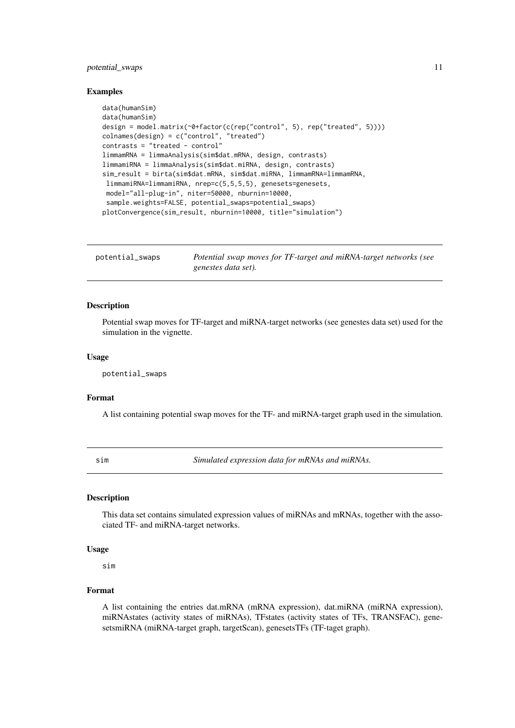#### <span id="page-10-0"></span>potential\_swaps 11

#### Examples

```
data(humanSim)
data(humanSim)
design = model.matrix(~0+factor(c(rep("control", 5), rep("treated", 5))))
colnames(design) = c("control", "treated")
contrasts = "treated - control"
limmamRNA = limmaAnalysis(sim$dat.mRNA, design, contrasts)
limmamiRNA = limmaAnalysis(sim$dat.miRNA, design, contrasts)
sim_result = birta(sim$dat.mRNA, sim$dat.miRNA, limmamRNA=limmamRNA,
limmamiRNA=limmamiRNA, nrep=c(5,5,5,5), genesets=genesets,
 model="all-plug-in", niter=50000, nburnin=10000,
 sample.weights=FALSE, potential_swaps=potential_swaps)
plotConvergence(sim_result, nburnin=10000, title="simulation")
```
potential\_swaps *Potential swap moves for TF-target and miRNA-target networks (see genestes data set).*

#### Description

Potential swap moves for TF-target and miRNA-target networks (see genestes data set) used for the simulation in the vignette.

# Usage

potential\_swaps

#### Format

A list containing potential swap moves for the TF- and miRNA-target graph used in the simulation.

sim *Simulated expression data for mRNAs and miRNAs.*

#### Description

This data set contains simulated expression values of miRNAs and mRNAs, together with the associated TF- and miRNA-target networks.

# Usage

sim

# Format

A list containing the entries dat.mRNA (mRNA expression), dat.miRNA (miRNA expression), miRNAstates (activity states of miRNAs), TFstates (activity states of TFs, TRANSFAC), genesetsmiRNA (miRNA-target graph, targetScan), genesetsTFs (TF-taget graph).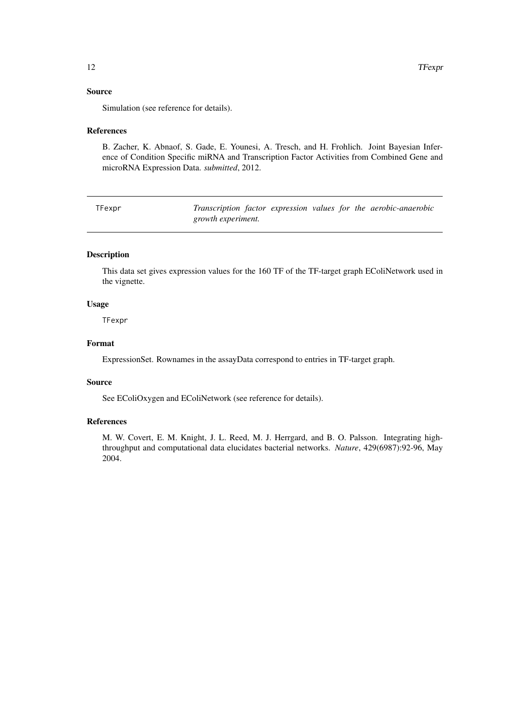# <span id="page-11-0"></span>Source

Simulation (see reference for details).

#### References

B. Zacher, K. Abnaof, S. Gade, E. Younesi, A. Tresch, and H. Frohlich. Joint Bayesian Inference of Condition Specific miRNA and Transcription Factor Activities from Combined Gene and microRNA Expression Data. *submitted*, 2012.

| TFexpr |                           |  |  | Transcription factor expression values for the aerobic-anaerobic |
|--------|---------------------------|--|--|------------------------------------------------------------------|
|        | <i>growth experiment.</i> |  |  |                                                                  |

# Description

This data set gives expression values for the 160 TF of the TF-target graph EColiNetwork used in the vignette.

#### Usage

TFexpr

#### Format

ExpressionSet. Rownames in the assayData correspond to entries in TF-target graph.

## Source

See EColiOxygen and EColiNetwork (see reference for details).

#### References

M. W. Covert, E. M. Knight, J. L. Reed, M. J. Herrgard, and B. O. Palsson. Integrating highthroughput and computational data elucidates bacterial networks. *Nature*, 429(6987):92-96, May 2004.